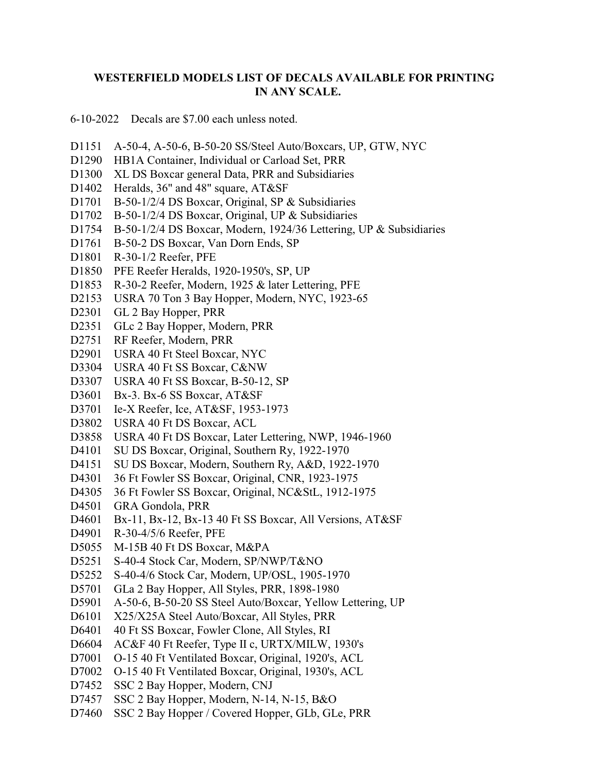## **WESTERFIELD MODELS LIST OF DECALS AVAILABLE FOR PRINTING IN ANY SCALE.**

6-10-2022 Decals are \$7.00 each unless noted.

- D1151 A-50-4, A-50-6, B-50-20 SS/Steel Auto/Boxcars, UP, GTW, NYC
- D1290 HB1A Container, Individual or Carload Set, PRR
- D1300 XL DS Boxcar general Data, PRR and Subsidiaries
- D1402 Heralds, 36" and 48" square, AT&SF
- D1701 B-50-1/2/4 DS Boxcar, Original, SP & Subsidiaries
- D1702 B-50-1/2/4 DS Boxcar, Original, UP & Subsidiaries
- D1754 B-50-1/2/4 DS Boxcar, Modern, 1924/36 Lettering, UP & Subsidiaries
- D1761 B-50-2 DS Boxcar, Van Dorn Ends, SP
- D1801 R-30-1/2 Reefer, PFE
- D1850 PFE Reefer Heralds, 1920-1950's, SP, UP
- D1853 R-30-2 Reefer, Modern, 1925 & later Lettering, PFE
- D2153 USRA 70 Ton 3 Bay Hopper, Modern, NYC, 1923-65
- D2301 GL 2 Bay Hopper, PRR
- D2351 GLc 2 Bay Hopper, Modern, PRR
- D2751 RF Reefer, Modern, PRR
- D2901 USRA 40 Ft Steel Boxcar, NYC
- D3304 USRA 40 Ft SS Boxcar, C&NW
- D3307 USRA 40 Ft SS Boxcar, B-50-12, SP
- D3601 Bx-3. Bx-6 SS Boxcar, AT&SF
- D3701 Ie-X Reefer, Ice, AT&SF, 1953-1973
- D3802 USRA 40 Ft DS Boxcar, ACL
- D3858 USRA 40 Ft DS Boxcar, Later Lettering, NWP, 1946-1960
- D4101 SU DS Boxcar, Original, Southern Ry, 1922-1970
- D4151 SU DS Boxcar, Modern, Southern Ry, A&D, 1922-1970
- D4301 36 Ft Fowler SS Boxcar, Original, CNR, 1923-1975
- D4305 36 Ft Fowler SS Boxcar, Original, NC&StL, 1912-1975
- D4501 GRA Gondola, PRR
- D4601 Bx-11, Bx-12, Bx-13 40 Ft SS Boxcar, All Versions, AT&SF
- D4901 R-30-4/5/6 Reefer, PFE
- D5055 M-15B 40 Ft DS Boxcar, M&PA
- D5251 S-40-4 Stock Car, Modern, SP/NWP/T&NO
- D5252 S-40-4/6 Stock Car, Modern, UP/OSL, 1905-1970
- D5701 GLa 2 Bay Hopper, All Styles, PRR, 1898-1980
- D5901 A-50-6, B-50-20 SS Steel Auto/Boxcar, Yellow Lettering, UP
- D6101 X25/X25A Steel Auto/Boxcar, All Styles, PRR
- D6401 40 Ft SS Boxcar, Fowler Clone, All Styles, RI
- D6604 AC&F 40 Ft Reefer, Type II c, URTX/MILW, 1930's
- D7001 O-15 40 Ft Ventilated Boxcar, Original, 1920's, ACL
- D7002 O-15 40 Ft Ventilated Boxcar, Original, 1930's, ACL
- D7452 SSC 2 Bay Hopper, Modern, CNJ
- D7457 SSC 2 Bay Hopper, Modern, N-14, N-15, B&O
- D7460 SSC 2 Bay Hopper / Covered Hopper, GLb, GLe, PRR